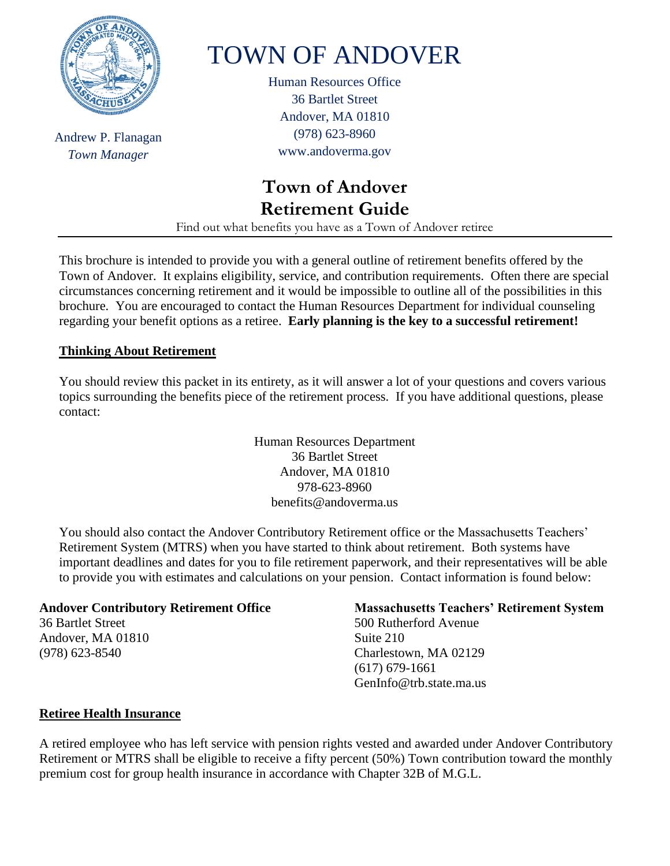

Andrew P. Flanagan *Town Manager*

# TOWN OF ANDOVER

Human Resources Office 36 Bartlet Street Andover, MA 01810 (978) 623-8960 www.andoverma.gov

# **Town of Andover Retirement Guide**

Find out what benefits you have as a Town of Andover retiree

This brochure is intended to provide you with a general outline of retirement benefits offered by the Town of Andover. It explains eligibility, service, and contribution requirements. Often there are special circumstances concerning retirement and it would be impossible to outline all of the possibilities in this brochure. You are encouraged to contact the Human Resources Department for individual counseling regarding your benefit options as a retiree. **Early planning is the key to a successful retirement!**

# **Thinking About Retirement**

You should review this packet in its entirety, as it will answer a lot of your questions and covers various topics surrounding the benefits piece of the retirement process. If you have additional questions, please contact:

> Human Resources Department 36 Bartlet Street Andover, MA 01810 978-623-8960 benefits@andoverma.us

You should also contact the Andover Contributory Retirement office or the Massachusetts Teachers' Retirement System (MTRS) when you have started to think about retirement. Both systems have important deadlines and dates for you to file retirement paperwork, and their representatives will be able to provide you with estimates and calculations on your pension. Contact information is found below:

### **Andover Contributory Retirement Office**

36 Bartlet Street Andover, MA 01810 (978) 623-8540

### **Massachusetts Teachers' Retirement System**

500 Rutherford Avenue Suite 210 Charlestown, MA 02129 (617) 679-1661 GenInfo@trb.state.ma.us

### **Retiree Health Insurance**

A retired employee who has left service with pension rights vested and awarded under Andover Contributory Retirement or MTRS shall be eligible to receive a fifty percent (50%) Town contribution toward the monthly premium cost for group health insurance in accordance with Chapter 32B of M.G.L.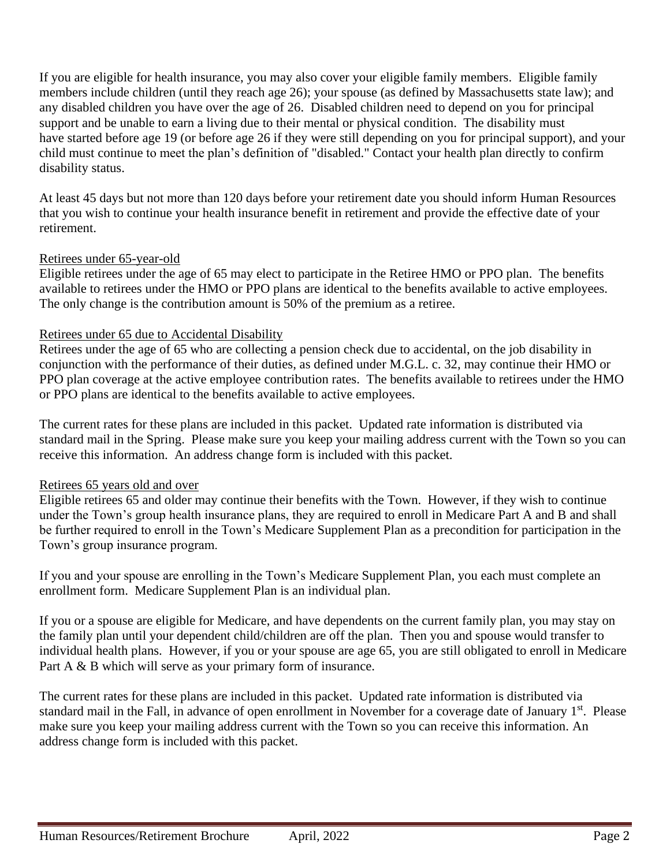If you are eligible for health insurance, you may also cover your eligible family members. Eligible family members include children (until they reach age 26); your spouse (as defined by Massachusetts state law); and any disabled children you have over the age of 26. Disabled children need to depend on you for principal support and be unable to earn a living due to their mental or physical condition. The disability must have started before age 19 (or before age 26 if they were still depending on you for principal support), and your child must continue to meet the plan's definition of "disabled." Contact your health plan directly to confirm disability status.

At least 45 days but not more than 120 days before your retirement date you should inform Human Resources that you wish to continue your health insurance benefit in retirement and provide the effective date of your retirement.

### Retirees under 65-year-old

Eligible retirees under the age of 65 may elect to participate in the Retiree HMO or PPO plan. The benefits available to retirees under the HMO or PPO plans are identical to the benefits available to active employees. The only change is the contribution amount is 50% of the premium as a retiree.

#### Retirees under 65 due to Accidental Disability

Retirees under the age of 65 who are collecting a pension check due to accidental, on the job disability in conjunction with the performance of their duties, as defined under M.G.L. c. 32, may continue their HMO or PPO plan coverage at the active employee contribution rates. The benefits available to retirees under the HMO or PPO plans are identical to the benefits available to active employees.

The current rates for these plans are included in this packet. Updated rate information is distributed via standard mail in the Spring. Please make sure you keep your mailing address current with the Town so you can receive this information. An address change form is included with this packet.

### Retirees 65 years old and over

Eligible retirees 65 and older may continue their benefits with the Town. However, if they wish to continue under the Town's group health insurance plans, they are required to enroll in Medicare Part A and B and shall be further required to enroll in the Town's Medicare Supplement Plan as a precondition for participation in the Town's group insurance program.

If you and your spouse are enrolling in the Town's Medicare Supplement Plan, you each must complete an enrollment form. Medicare Supplement Plan is an individual plan.

If you or a spouse are eligible for Medicare, and have dependents on the current family plan, you may stay on the family plan until your dependent child/children are off the plan. Then you and spouse would transfer to individual health plans. However, if you or your spouse are age 65, you are still obligated to enroll in Medicare Part A & B which will serve as your primary form of insurance.

The current rates for these plans are included in this packet. Updated rate information is distributed via standard mail in the Fall, in advance of open enrollment in November for a coverage date of January 1<sup>st</sup>. Please make sure you keep your mailing address current with the Town so you can receive this information. An address change form is included with this packet.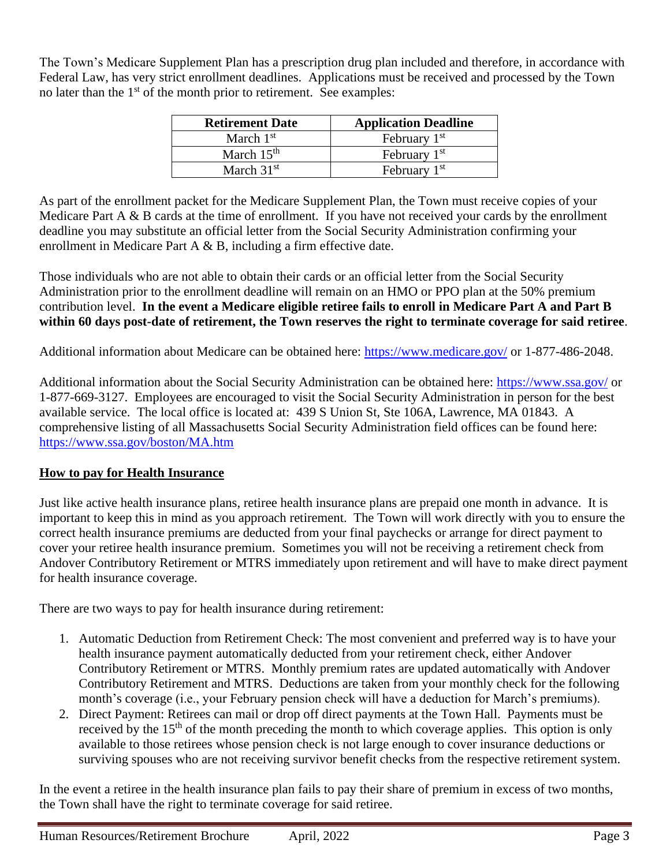The Town's Medicare Supplement Plan has a prescription drug plan included and therefore, in accordance with Federal Law, has very strict enrollment deadlines. Applications must be received and processed by the Town no later than the 1<sup>st</sup> of the month prior to retirement. See examples:

| <b>Retirement Date</b> | <b>Application Deadline</b> |
|------------------------|-----------------------------|
| March $1st$            | February 1 <sup>st</sup>    |
| March $15th$           | February 1 <sup>st</sup>    |
| March $31st$           | February $1st$              |

As part of the enrollment packet for the Medicare Supplement Plan, the Town must receive copies of your Medicare Part A & B cards at the time of enrollment. If you have not received your cards by the enrollment deadline you may substitute an official letter from the Social Security Administration confirming your enrollment in Medicare Part A & B, including a firm effective date.

Those individuals who are not able to obtain their cards or an official letter from the Social Security Administration prior to the enrollment deadline will remain on an HMO or PPO plan at the 50% premium contribution level. **In the event a Medicare eligible retiree fails to enroll in Medicare Part A and Part B within 60 days post-date of retirement, the Town reserves the right to terminate coverage for said retiree**.

Additional information about Medicare can be obtained here:<https://www.medicare.gov/> or 1-877-486-2048.

Additional information about the Social Security Administration can be obtained here:<https://www.ssa.gov/> or 1-877-669-3127. Employees are encouraged to visit the Social Security Administration in person for the best available service. The local office is located at: 439 S Union St, Ste 106A, Lawrence, MA 01843. A comprehensive listing of all Massachusetts Social Security Administration field offices can be found here: <https://www.ssa.gov/boston/MA.htm>

# **How to pay for Health Insurance**

Just like active health insurance plans, retiree health insurance plans are prepaid one month in advance. It is important to keep this in mind as you approach retirement. The Town will work directly with you to ensure the correct health insurance premiums are deducted from your final paychecks or arrange for direct payment to cover your retiree health insurance premium. Sometimes you will not be receiving a retirement check from Andover Contributory Retirement or MTRS immediately upon retirement and will have to make direct payment for health insurance coverage.

There are two ways to pay for health insurance during retirement:

- 1. Automatic Deduction from Retirement Check: The most convenient and preferred way is to have your health insurance payment automatically deducted from your retirement check, either Andover Contributory Retirement or MTRS. Monthly premium rates are updated automatically with Andover Contributory Retirement and MTRS. Deductions are taken from your monthly check for the following month's coverage (i.e., your February pension check will have a deduction for March's premiums).
- 2. Direct Payment: Retirees can mail or drop off direct payments at the Town Hall. Payments must be received by the 15<sup>th</sup> of the month preceding the month to which coverage applies. This option is only available to those retirees whose pension check is not large enough to cover insurance deductions or surviving spouses who are not receiving survivor benefit checks from the respective retirement system.

In the event a retiree in the health insurance plan fails to pay their share of premium in excess of two months, the Town shall have the right to terminate coverage for said retiree.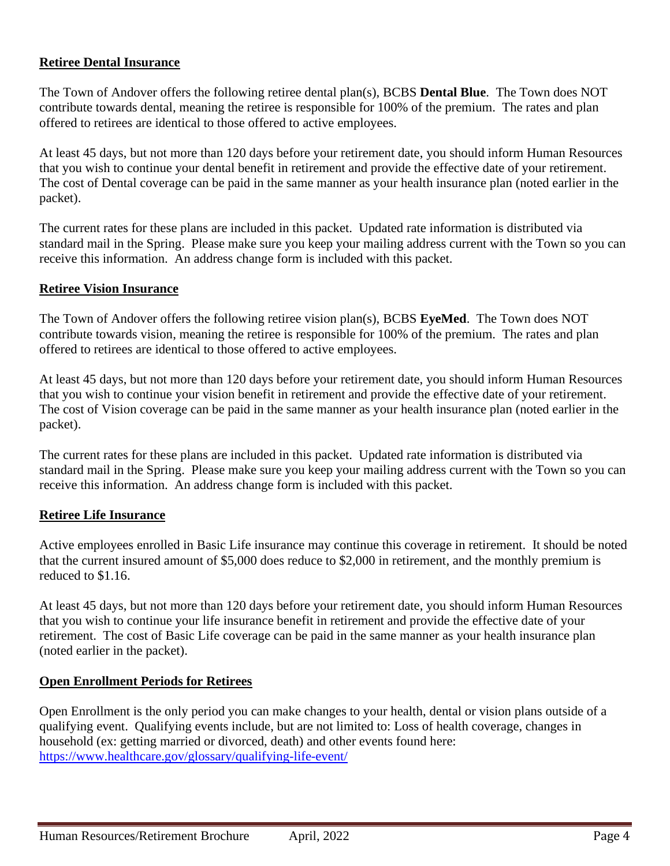### **Retiree Dental Insurance**

The Town of Andover offers the following retiree dental plan(s), BCBS **Dental Blue**. The Town does NOT contribute towards dental, meaning the retiree is responsible for 100% of the premium. The rates and plan offered to retirees are identical to those offered to active employees.

At least 45 days, but not more than 120 days before your retirement date, you should inform Human Resources that you wish to continue your dental benefit in retirement and provide the effective date of your retirement. The cost of Dental coverage can be paid in the same manner as your health insurance plan (noted earlier in the packet).

The current rates for these plans are included in this packet. Updated rate information is distributed via standard mail in the Spring. Please make sure you keep your mailing address current with the Town so you can receive this information. An address change form is included with this packet.

#### **Retiree Vision Insurance**

The Town of Andover offers the following retiree vision plan(s), BCBS **EyeMed**. The Town does NOT contribute towards vision, meaning the retiree is responsible for 100% of the premium. The rates and plan offered to retirees are identical to those offered to active employees.

At least 45 days, but not more than 120 days before your retirement date, you should inform Human Resources that you wish to continue your vision benefit in retirement and provide the effective date of your retirement. The cost of Vision coverage can be paid in the same manner as your health insurance plan (noted earlier in the packet).

The current rates for these plans are included in this packet. Updated rate information is distributed via standard mail in the Spring. Please make sure you keep your mailing address current with the Town so you can receive this information. An address change form is included with this packet.

#### **Retiree Life Insurance**

Active employees enrolled in Basic Life insurance may continue this coverage in retirement. It should be noted that the current insured amount of \$5,000 does reduce to \$2,000 in retirement, and the monthly premium is reduced to \$1.16.

At least 45 days, but not more than 120 days before your retirement date, you should inform Human Resources that you wish to continue your life insurance benefit in retirement and provide the effective date of your retirement. The cost of Basic Life coverage can be paid in the same manner as your health insurance plan (noted earlier in the packet).

#### **Open Enrollment Periods for Retirees**

Open Enrollment is the only period you can make changes to your health, dental or vision plans outside of a qualifying event. Qualifying events include, but are not limited to: Loss of health coverage, changes in household (ex: getting married or divorced, death) and other events found here: <https://www.healthcare.gov/glossary/qualifying-life-event/>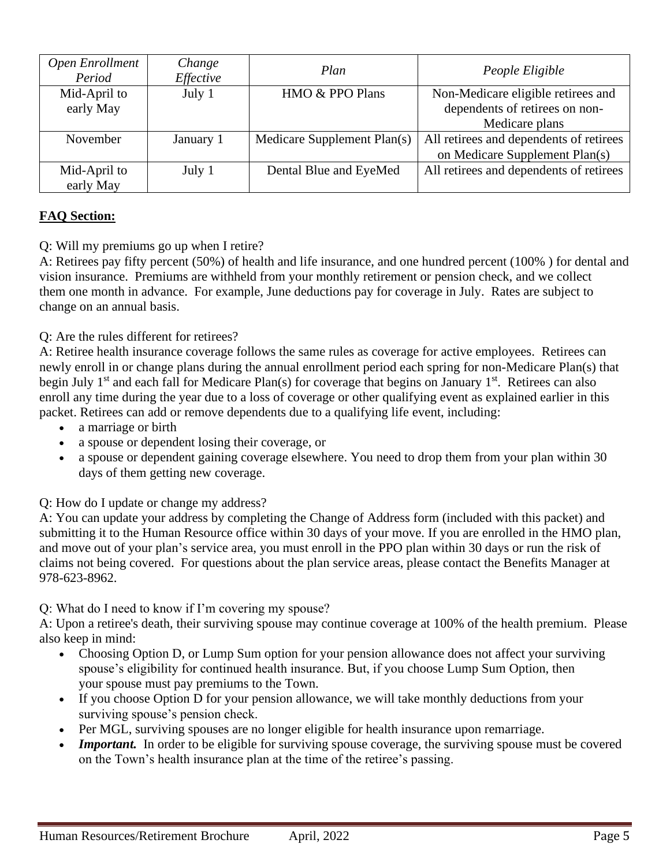| Open Enrollment<br>Period | Change<br>Effective | Plan                        | People Eligible                                                                        |
|---------------------------|---------------------|-----------------------------|----------------------------------------------------------------------------------------|
| Mid-April to<br>early May | July 1              | HMO & PPO Plans             | Non-Medicare eligible retirees and<br>dependents of retirees on non-<br>Medicare plans |
| November                  | January 1           | Medicare Supplement Plan(s) | All retirees and dependents of retirees<br>on Medicare Supplement Plan(s)              |
| Mid-April to<br>early May | July 1              | Dental Blue and EyeMed      | All retirees and dependents of retirees                                                |

# **FAQ Section:**

Q: Will my premiums go up when I retire?

A: Retirees pay fifty percent (50%) of health and life insurance, and one hundred percent (100% ) for dental and vision insurance. Premiums are withheld from your monthly retirement or pension check, and we collect them one month in advance. For example, June deductions pay for coverage in July. Rates are subject to change on an annual basis.

## Q: Are the rules different for retirees?

A: Retiree health insurance coverage follows the same rules as coverage for active employees. Retirees can newly enroll in or change plans during the annual enrollment period each spring for non-Medicare Plan(s) that begin July 1<sup>st</sup> and each fall for Medicare Plan(s) for coverage that begins on January 1<sup>st</sup>. Retirees can also enroll any time during the year due to a loss of coverage or other qualifying event as explained earlier in this packet. Retirees can add or remove dependents due to a qualifying life event, including:

- a marriage or birth
- a spouse or dependent losing their coverage, or
- a spouse or dependent gaining coverage elsewhere. You need to drop them from your plan within 30 days of them getting new coverage.

Q: How do I update or change my address?

A: You can update your address by completing the Change of Address form (included with this packet) and submitting it to the Human Resource office within 30 days of your move. If you are enrolled in the HMO plan, and move out of your plan's service area, you must enroll in the PPO plan within 30 days or run the risk of claims not being covered. For questions about the plan service areas, please contact the Benefits Manager at 978-623-8962.

Q: What do I need to know if I'm covering my spouse?

A: Upon a retiree's death, their surviving spouse may continue coverage at 100% of the health premium. Please also keep in mind:

- Choosing Option D, or Lump Sum option for your pension allowance does not affect your surviving spouse's eligibility for continued health insurance. But, if you choose Lump Sum Option, then your spouse must pay premiums to the Town.
- If you choose Option D for your pension allowance, we will take monthly deductions from your surviving spouse's pension check.
- Per MGL, surviving spouses are no longer eligible for health insurance upon remarriage.
- *Important.* In order to be eligible for surviving spouse coverage, the surviving spouse must be covered on the Town's health insurance plan at the time of the retiree's passing.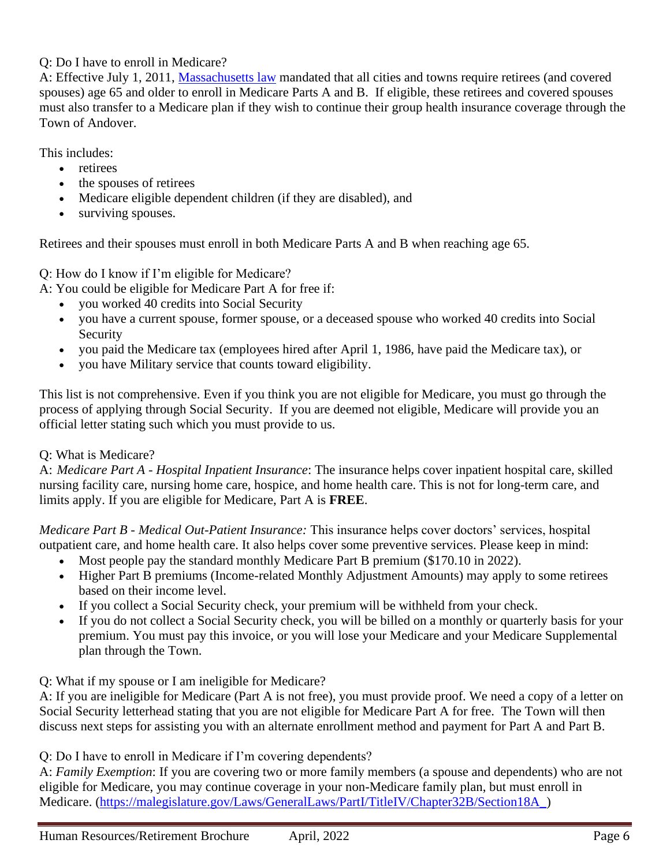# Q: Do I have to enroll in Medicare?

A: Effective July 1, 2011, [Massachusetts law](https://malegislature.gov/Laws/SessionLaws/Acts/2011/Chapter69) mandated that all cities and towns require retirees (and covered spouses) age 65 and older to enroll in Medicare Parts A and B. If eligible, these retirees and covered spouses must also transfer to a Medicare plan if they wish to continue their group health insurance coverage through the Town of Andover.

This includes:

- retirees
- the spouses of retirees
- Medicare eligible dependent children (if they are disabled), and
- surviving spouses.

Retirees and their spouses must enroll in both Medicare Parts A and B when reaching age 65.

Q: How do I know if I'm eligible for Medicare?

A: You could be eligible for Medicare Part A for free if:

- you worked 40 credits into Social Security
- you have a current spouse, former spouse, or a deceased spouse who worked 40 credits into Social Security
- you paid the Medicare tax (employees hired after April 1, 1986, have paid the Medicare tax), or
- you have Military service that counts toward eligibility.

This list is not comprehensive. Even if you think you are not eligible for Medicare, you must go through the process of applying through Social Security. If you are deemed not eligible, Medicare will provide you an official letter stating such which you must provide to us.

# Q: What is Medicare?

A: *Medicare Part A - Hospital Inpatient Insurance*: The insurance helps cover inpatient hospital care, skilled nursing facility care, nursing home care, hospice, and home health care. This is not for long-term care, and limits apply. If you are eligible for Medicare, Part A is **FREE**.

*Medicare Part B - Medical Out-Patient Insurance:* This insurance helps cover doctors' services, hospital outpatient care, and home health care. It also helps cover some preventive services. Please keep in mind:

- Most people pay the standard monthly Medicare Part B premium (\$170.10 in 2022).
- Higher Part B premiums (Income-related Monthly Adjustment Amounts) may apply to some retirees based on their income level.
- If you collect a Social Security check, your premium will be withheld from your check.
- If you do not collect a Social Security check, you will be billed on a monthly or quarterly basis for your premium. You must pay this invoice, or you will lose your Medicare and your Medicare Supplemental plan through the Town.

# Q: What if my spouse or I am ineligible for Medicare?

A: If you are ineligible for Medicare (Part A is not free), you must provide proof. We need a copy of a letter on Social Security letterhead stating that you are not eligible for Medicare Part A for free. The Town will then discuss next steps for assisting you with an alternate enrollment method and payment for Part A and Part B.

Q: Do I have to enroll in Medicare if I'm covering dependents?

A: *Family Exemption*: If you are covering two or more family members (a spouse and dependents) who are not eligible for Medicare, you may continue coverage in your non-Medicare family plan, but must enroll in Medicare. [\(https://malegislature.gov/Laws/GeneralLaws/PartI/TitleIV/Chapter32B/Section18A\\_\)](https://malegislature.gov/Laws/GeneralLaws/PartI/TitleIV/Chapter32B/Section18A_)